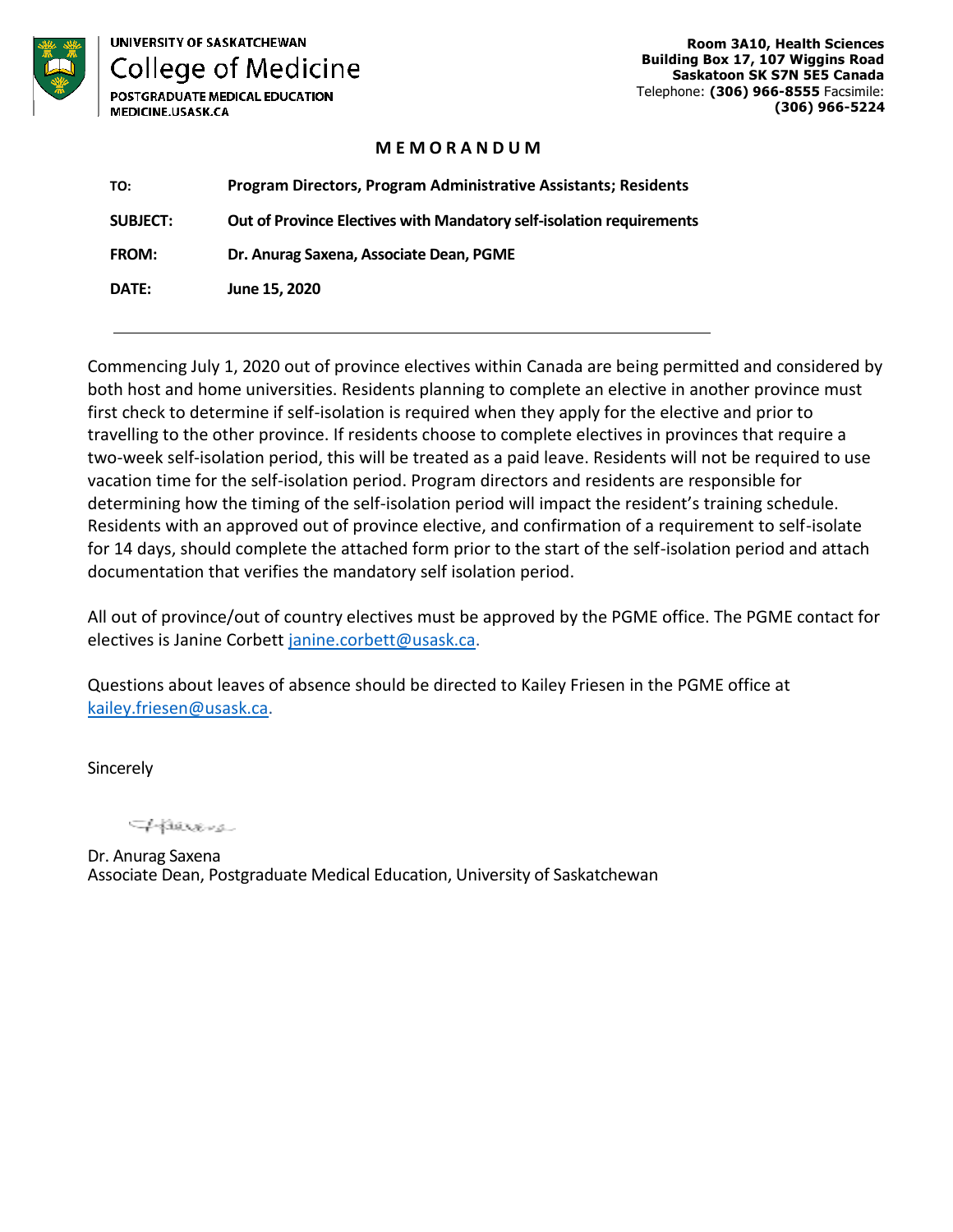

**UNIVERSITY OF SASKATCHEWAN College of Medicine** POSTGRADUATE MEDICAL EDUCATION

MEDICINE.USASK.CA

**Room 3A10, Health Sciences Building Box 17, 107 Wiggins Road Saskatoon SK S7N 5E5 Canada**  Telephone: **(306) 966-8555** Facsimile: **(306) 966-5224**

#### **M E M O R A N D U M**

| TO:             | <b>Program Directors, Program Administrative Assistants; Residents</b> |
|-----------------|------------------------------------------------------------------------|
| <b>SUBJECT:</b> | Out of Province Electives with Mandatory self-isolation requirements   |
| <b>FROM:</b>    | Dr. Anurag Saxena, Associate Dean, PGME                                |
| <b>DATE:</b>    | June 15, 2020                                                          |

Commencing July 1, 2020 out of province electives within Canada are being permitted and considered by both host and home universities. Residents planning to complete an elective in another province must first check to determine if self-isolation is required when they apply for the elective and prior to travelling to the other province. If residents choose to complete electives in provinces that require a two-week self-isolation period, this will be treated as a paid leave. Residents will not be required to use vacation time for the self-isolation period. Program directors and residents are responsible for determining how the timing of the self-isolation period will impact the resident's training schedule. Residents with an approved out of province elective, and confirmation of a requirement to self-isolate for 14 days, should complete the attached form prior to the start of the self-isolation period and attach documentation that verifies the mandatory self isolation period.

All out of province/out of country electives must be approved by the PGME office. The PGME contact for electives is Janine Corbett [janine.corbett@usask.ca.](mailto:janine.corbett@usask.ca)

Questions about leaves of absence should be directed to Kailey Friesen in the PGME office at [kailey.friesen@usask.ca.](mailto:kailey.friesen@usask.ca)

Sincerely

THEREIS

Dr. Anurag Saxena Associate Dean, Postgraduate Medical Education, University of Saskatchewan